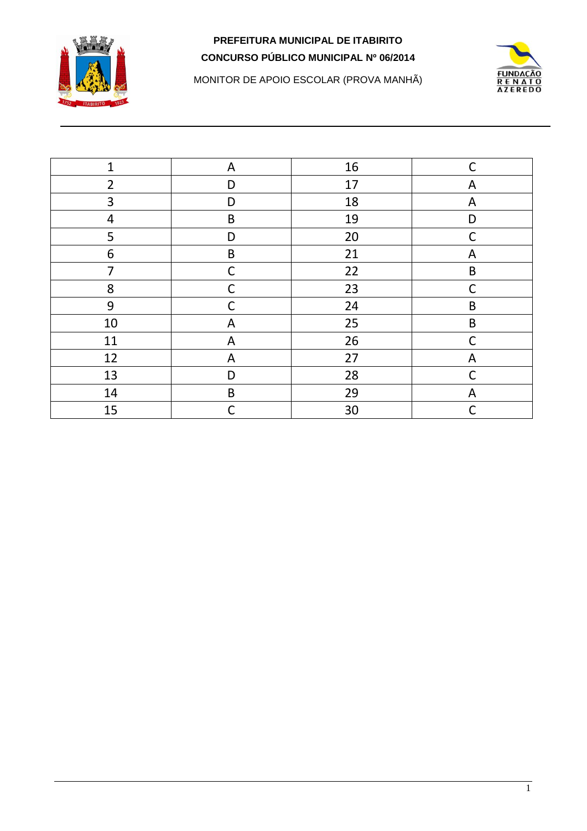



MONITOR DE APOIO ESCOLAR (PROVA MANHÃ)

| $\mathbf{1}$   | A           | 16 | $\mathsf{C}$ |
|----------------|-------------|----|--------------|
| $\overline{2}$ | D           | 17 | A            |
| 3              | D           | 18 | A            |
| $\overline{4}$ | $\sf B$     | 19 | D            |
| 5              | D           | 20 | $\mathsf{C}$ |
| 6              | $\sf B$     | 21 | A            |
| $\overline{7}$ | $\mathsf C$ | 22 | $\sf B$      |
| 8              | $\mathsf C$ | 23 | $\mathsf C$  |
| 9              | $\mathsf C$ | 24 | $\sf B$      |
| $10\,$         | A           | 25 | $\mathsf B$  |
| 11             | A           | 26 | $\mathsf{C}$ |
| 12             | ${\sf A}$   | 27 | A            |
| 13             | D           | 28 | $\mathsf{C}$ |
| 14             | $\sf B$     | 29 | A            |
| 15             | C           | 30 |              |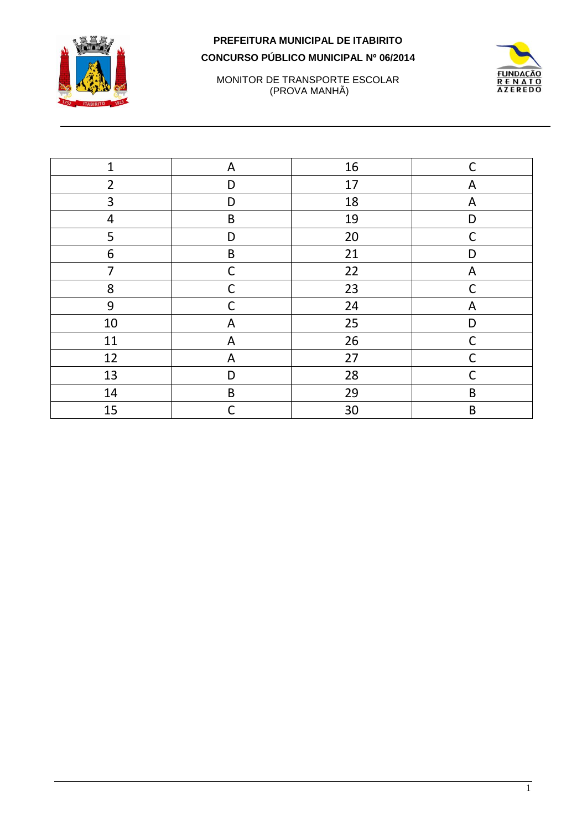



MONITOR DE TRANSPORTE ESCOLAR (PROVA MANHÃ)

| $\mathbf{1}$   | A            | 16 | $\mathsf C$ |
|----------------|--------------|----|-------------|
| $\overline{2}$ | D            | 17 | A           |
| 3              | D            | 18 | A           |
| 4              | B            | 19 | D           |
| 5              | D            | 20 | $\mathsf C$ |
| 6              | $\sf B$      | 21 | D           |
| 7              | $\mathsf{C}$ | 22 | A           |
| 8              | $\mathsf{C}$ | 23 | $\mathsf C$ |
| 9              | C            | 24 | A           |
| 10             | A            | 25 | D           |
| 11             | A            | 26 | $\mathsf C$ |
| 12             | A            | 27 | C           |
| 13             | D            | 28 | $\mathsf C$ |
| 14             | $\sf B$      | 29 | $\mathsf B$ |
| 15             | $\mathsf{C}$ | 30 | $\mathsf B$ |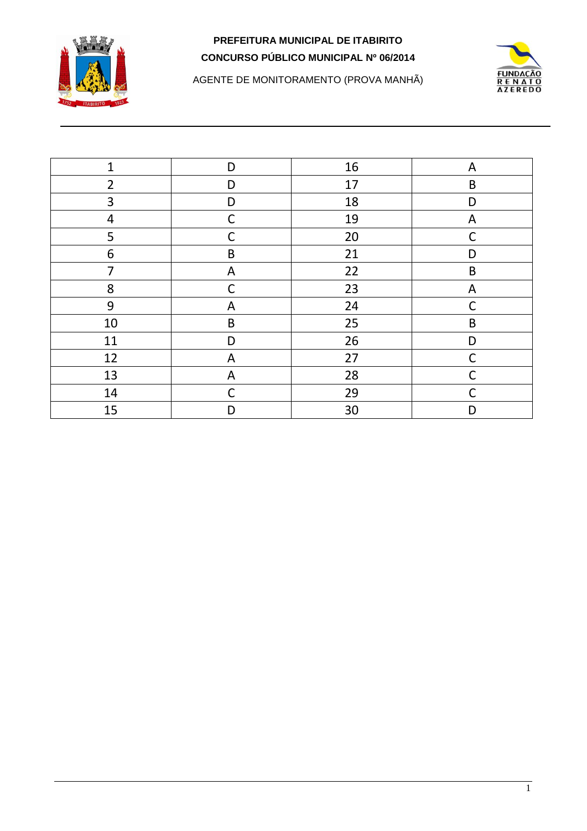



AGENTE DE MONITORAMENTO (PROVA MANHÃ)

| $\mathbf{1}$   | D            | 16 | A            |
|----------------|--------------|----|--------------|
| $\overline{2}$ | D            | 17 | $\mathsf B$  |
| 3              | D            | 18 | D            |
| $\overline{4}$ | $\mathsf C$  | 19 | A            |
| 5              | C            | 20 | $\mathsf{C}$ |
| 6              | $\sf B$      | 21 | D            |
| 7              | A            | 22 | B            |
| 8              | C            | 23 | A            |
| 9              | A            | 24 | $\mathsf C$  |
| 10             | $\sf B$      | 25 | $\sf B$      |
| 11             | D            | 26 | D            |
| 12             | $\mathsf{A}$ | 27 | $\mathsf C$  |
| 13             | A            | 28 | C            |
| 14             | C            | 29 | C            |
| 15             | D            | 30 | D            |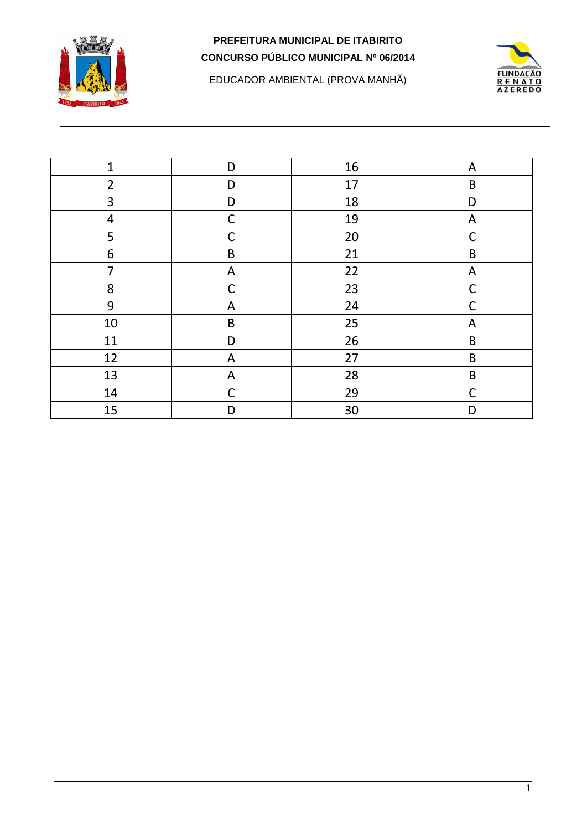

EDUCADOR AMBIENTAL (PROVA MANHÃ)



| $\mathbf{1}$   | D            | 16 | A           |
|----------------|--------------|----|-------------|
| $\overline{2}$ | D            | 17 | B           |
| 3              | D            | 18 | D           |
| 4              | $\mathsf C$  | 19 | A           |
| 5              | $\mathsf C$  | 20 | $\mathsf C$ |
| 6              | $\sf B$      | 21 | $\sf B$     |
| 7              | $\mathsf{A}$ | 22 | A           |
| 8              | $\mathsf C$  | 23 | $\mathsf C$ |
| 9              | A            | 24 | C           |
| 10             | $\sf B$      | 25 | A           |
| 11             | D            | 26 | $\mathsf B$ |
| 12             | A            | 27 | $\mathsf B$ |
| 13             | A            | 28 | $\sf B$     |
| 14             | $\mathsf C$  | 29 | $\mathsf C$ |
| 15             | D            | 30 | D           |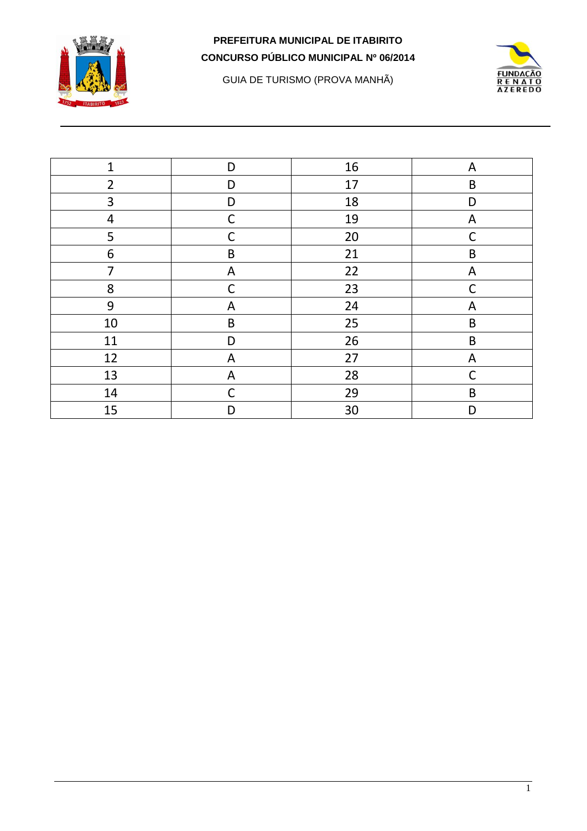

GUIA DE TURISMO (PROVA MANHÃ)



| $\mathbf{1}$   | D            | 16 | A            |
|----------------|--------------|----|--------------|
| $\overline{2}$ | D            | 17 | $\mathsf B$  |
| 3              | D            | 18 | D            |
| 4              | $\mathsf C$  | 19 | A            |
| 5              | C            | 20 | $\mathsf C$  |
| 6              | $\sf B$      | 21 | $\sf B$      |
| $\overline{7}$ | $\mathsf{A}$ | 22 | A            |
| 8              | $\mathsf C$  | 23 | $\mathsf C$  |
| 9              | A            | 24 | A            |
| $10\,$         | $\sf B$      | 25 | $\mathsf B$  |
| 11             | D            | 26 | $\sf B$      |
| 12             | A            | 27 | A            |
| 13             | A            | 28 | $\mathsf{C}$ |
| 14             | $\mathsf C$  | 29 | $\mathsf B$  |
| 15             | D            | 30 | D            |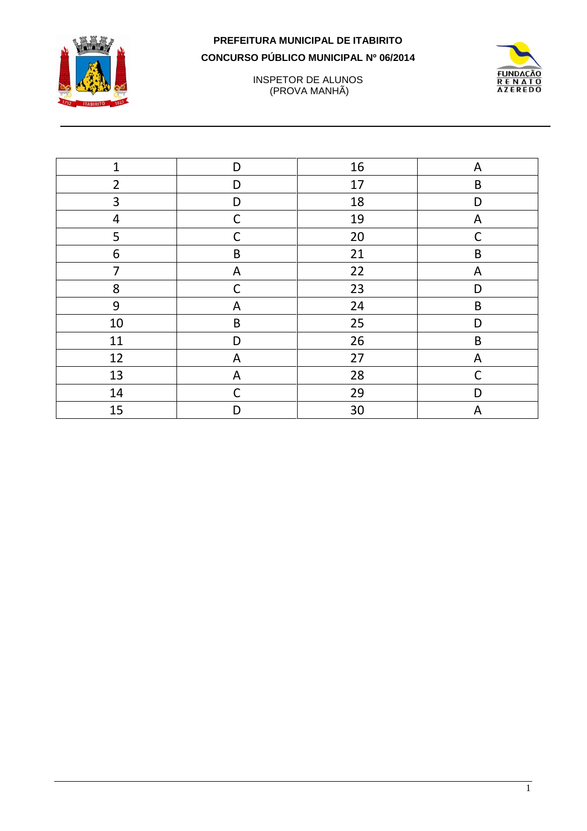



INSPETOR DE ALUNOS (PROVA MANHÃ)

| $\overline{1}$ | D            | 16 | A           |
|----------------|--------------|----|-------------|
| $\overline{2}$ | D            | 17 | $\sf B$     |
| 3              | D            | 18 | D           |
| 4              | $\mathsf{C}$ | 19 | A           |
| 5              | $\mathsf{C}$ | 20 | $\mathsf C$ |
| 6              | $\sf B$      | 21 | $\sf B$     |
| $\overline{7}$ | A            | 22 | A           |
| 8              | C            | 23 | D           |
| 9              | A            | 24 | $\mathsf B$ |
| 10             | $\sf B$      | 25 | D           |
| 11             | D            | 26 | $\sf B$     |
| 12             | A            | 27 | A           |
| 13             | A            | 28 | $\mathsf C$ |
| 14             | $\mathsf{C}$ | 29 | D           |
| 15             | D            | 30 | A           |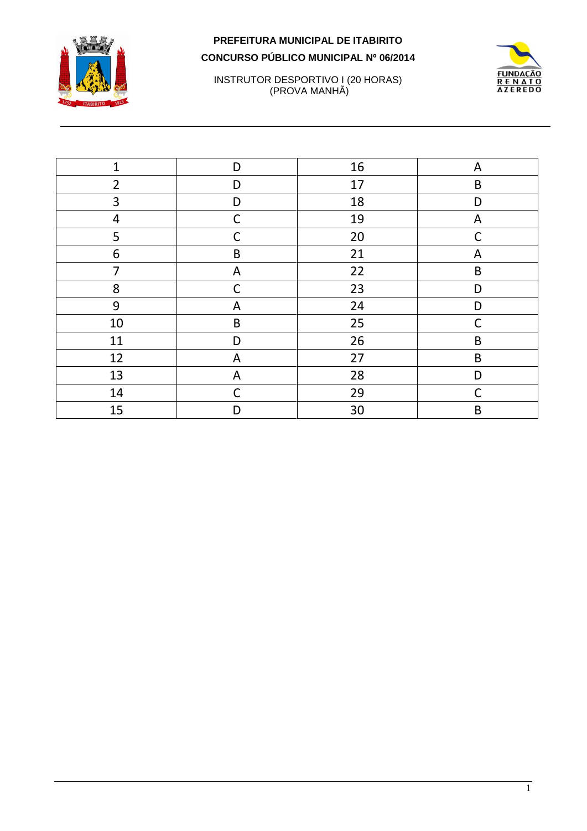



# INSTRUTOR DESPORTIVO I (20 HORAS)<br>(PROVA MANHÃ)

| $\mathbf{1}$             | D            | 16 | A            |
|--------------------------|--------------|----|--------------|
| $\overline{2}$           | D            | 17 | $\sf B$      |
| 3                        | D            | 18 | D            |
| $\overline{\mathcal{A}}$ | $\mathsf{C}$ | 19 | A            |
| 5                        | C            | 20 | $\mathsf{C}$ |
| 6                        | $\sf B$      | 21 | A            |
| $\overline{7}$           | A            | 22 | $\sf B$      |
| 8                        | $\mathsf{C}$ | 23 | D            |
| 9                        | A            | 24 | D            |
| 10                       | $\sf B$      | 25 | C            |
| 11                       | D            | 26 | $\sf B$      |
| 12                       | A            | 27 | $\sf B$      |
| 13                       | A            | 28 | D            |
| 14                       | $\mathsf{C}$ | 29 | $\mathsf C$  |
| 15                       | D            | 30 | $\mathsf B$  |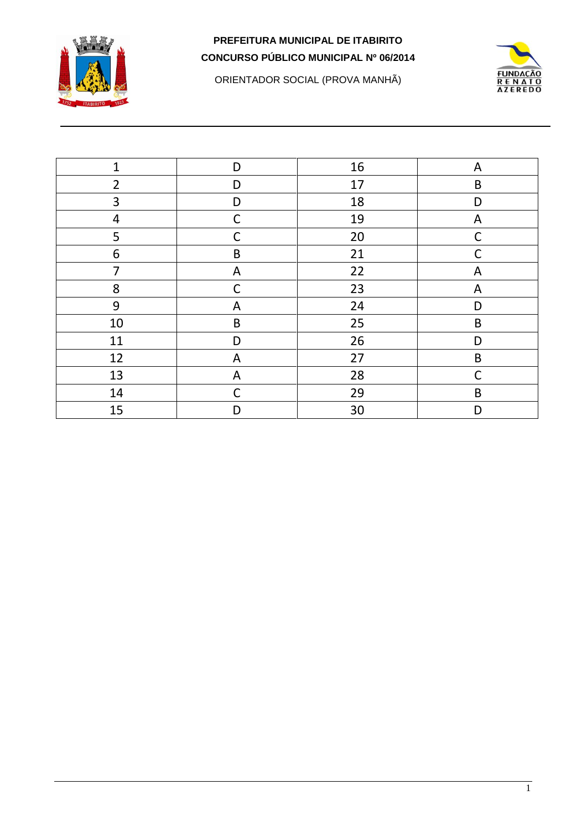

ORIENTADOR SOCIAL (PROVA MANHÃ)



| $\mathbf{1}$   | D            | 16 | A            |
|----------------|--------------|----|--------------|
| $\overline{2}$ | D            | 17 | $\sf B$      |
| 3              | D            | 18 | D            |
| 4              | $\mathsf C$  | 19 | A            |
| 5              | $\mathsf{C}$ | 20 | $\mathsf C$  |
| 6              | $\sf B$      | 21 | $\mathsf C$  |
| $\overline{7}$ | $\mathsf{A}$ | 22 | A            |
| 8              | $\mathsf{C}$ | 23 | A            |
| 9              | A            | 24 | D            |
| $10\,$         | $\sf B$      | 25 | $\sf B$      |
| 11             | D            | 26 | D            |
| 12             | A            | 27 | $\sf B$      |
| 13             | A            | 28 | $\mathsf{C}$ |
| 14             | C            | 29 | $\mathsf B$  |
| 15             | D            | 30 | D            |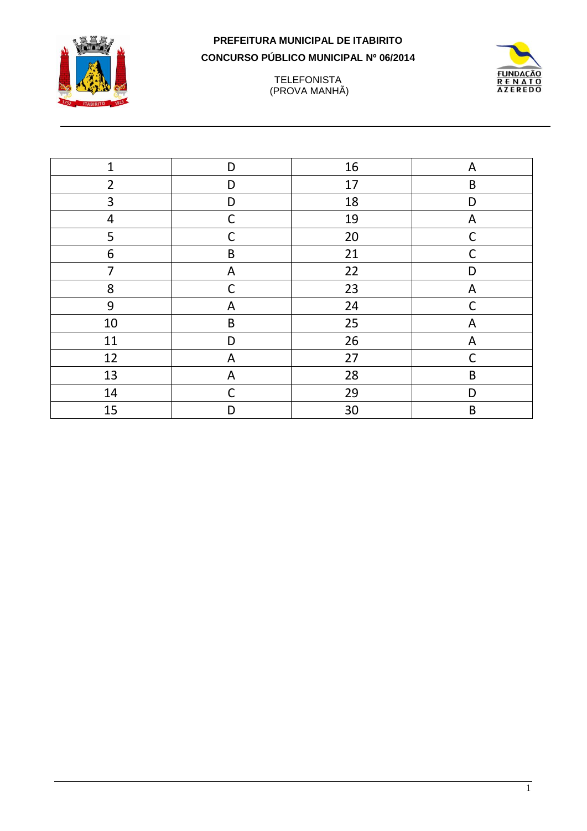





| $\mathbf{1}$   | D            | 16 | A           |
|----------------|--------------|----|-------------|
| $\overline{2}$ | D            | 17 | B           |
| 3              | D            | 18 | D           |
| 4              | $\mathsf C$  | 19 | A           |
| 5              | $\mathsf{C}$ | 20 | $\mathsf C$ |
| 6              | B            | 21 | $\mathsf C$ |
| 7              | A            | 22 | D           |
| 8              | $\mathsf C$  | 23 | A           |
| 9              | A            | 24 | C           |
| $10\,$         | $\sf B$      | 25 | A           |
| 11             | D            | 26 | A           |
| 12             | A            | 27 | C           |
| 13             | A            | 28 | $\sf B$     |
| 14             | $\mathsf C$  | 29 | D           |
| 15             | D            | 30 | B           |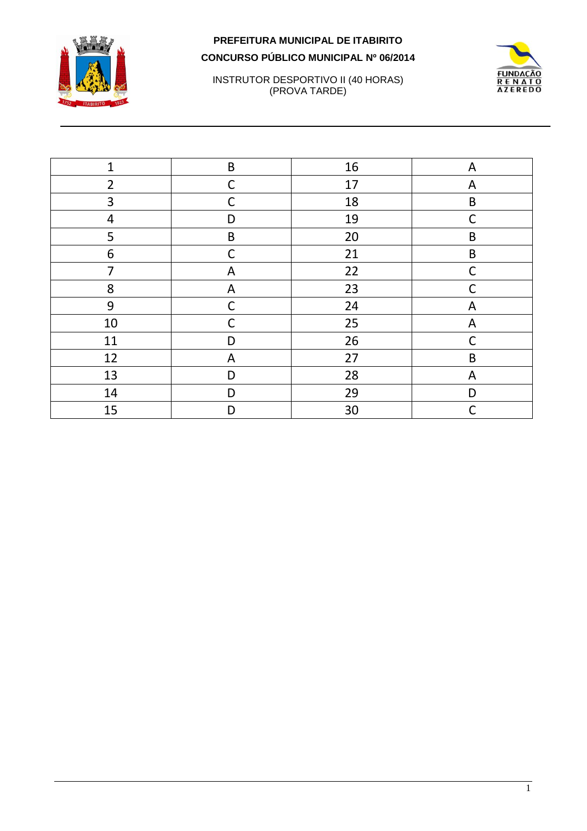



INSTRUTOR DESPORTIVO II (40 HORAS) (PROVA TARDE)

| $\mathbf{1}$   | $\sf B$      | 16 | A            |
|----------------|--------------|----|--------------|
| $\overline{2}$ | $\mathsf{C}$ | 17 | A            |
| 3              | С            | 18 | $\sf B$      |
| 4              | D            | 19 | $\mathsf{C}$ |
| 5              | $\sf B$      | 20 | B            |
| 6              | $\mathsf{C}$ | 21 | $\sf B$      |
| 7              | A            | 22 | $\mathsf C$  |
| 8              | A            | 23 | $\mathsf C$  |
| 9              | $\mathsf{C}$ | 24 | A            |
| 10             | C            | 25 | A            |
| 11             | D            | 26 | $\mathsf C$  |
| 12             | A            | 27 | $\sf B$      |
| 13             | D            | 28 | A            |
| 14             | D            | 29 | D            |
| 15             | D            | 30 | $\mathsf C$  |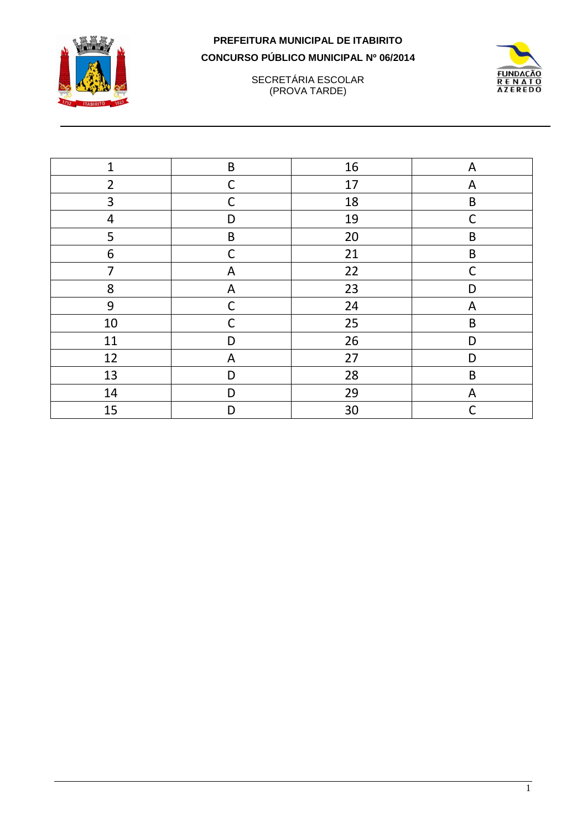



SECRETÁRIA ESCOLAR (PROVA TARDE)

| $\mathbf{1}$   | $\sf B$      | 16 | A            |
|----------------|--------------|----|--------------|
| $\overline{2}$ | $\mathsf{C}$ | 17 | A            |
| 3              | $\mathsf{C}$ | 18 | $\mathsf B$  |
| $\overline{4}$ | D            | 19 | $\mathsf{C}$ |
| 5              | $\sf B$      | 20 | B            |
| 6              | C            | 21 | $\sf B$      |
| 7              | A            | 22 | $\mathsf{C}$ |
| 8              | A            | 23 | D            |
| 9              | C            | 24 | A            |
| $10\,$         | C            | 25 | $\sf B$      |
| 11             | D            | 26 | D            |
| 12             | A            | 27 | D            |
| 13             | D            | 28 | $\mathsf B$  |
| 14             | D            | 29 | A            |
| 15             | D            | 30 | $\mathsf{C}$ |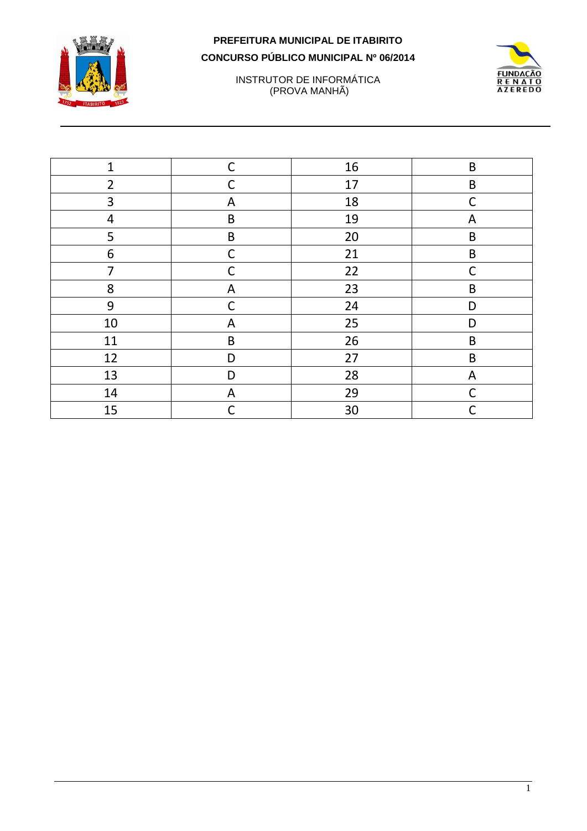

INSTRUTOR DE INFORMÁTICA (PROVA MANHÃ)



| $\mathbf{1}$   | $\mathsf C$  | 16 | $\sf B$     |
|----------------|--------------|----|-------------|
| $\overline{2}$ | $\mathsf{C}$ | 17 | $\sf B$     |
| 3              | A            | 18 | $\mathsf C$ |
| 4              | $\sf B$      | 19 | A           |
| 5              | $\sf B$      | 20 | $\sf B$     |
| 6              | $\mathsf C$  | 21 | $\sf B$     |
| $\overline{7}$ | C            | 22 | $\mathsf C$ |
| 8              | A            | 23 | $\sf B$     |
| 9              | $\mathsf C$  | 24 | D           |
| $10\,$         | A            | 25 | D           |
| 11             | $\sf B$      | 26 | $\sf B$     |
| 12             | D            | 27 | $\sf B$     |
| 13             | D            | 28 | A           |
| 14             | $\mathsf{A}$ | 29 | C           |
| 15             | $\mathsf{C}$ | 30 | C           |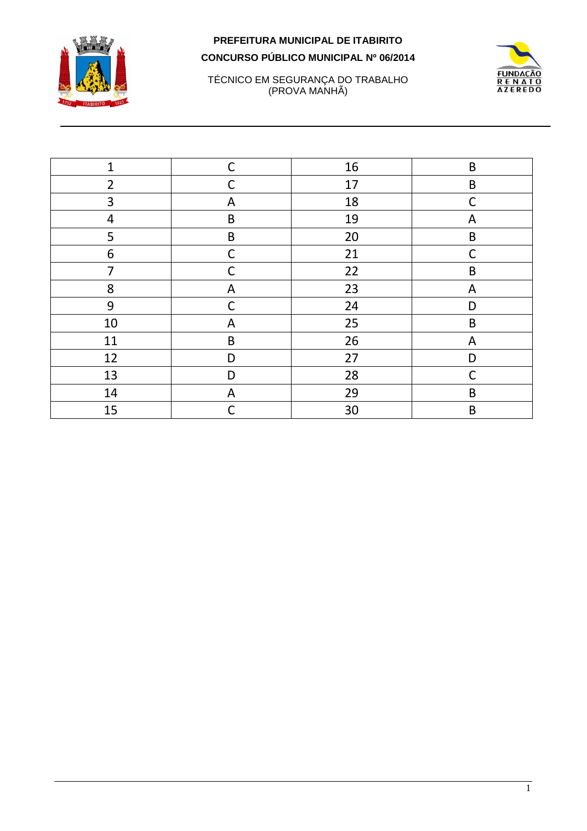



#### TÉCNICO EM SEGURANÇA DO TRABALHO (PROVA MANHÃ)

| $\mathbf{1}$   | $\mathsf C$  | 16 | $\mathsf B$  |
|----------------|--------------|----|--------------|
| $\overline{2}$ | $\mathsf{C}$ | 17 | $\sf B$      |
| 3              | A            | 18 | $\mathsf{C}$ |
| 4              | $\sf B$      | 19 | A            |
| 5              | $\sf B$      | 20 | $\sf B$      |
| 6              | $\mathsf{C}$ | 21 | $\mathsf C$  |
| 7              | C            | 22 | $\sf B$      |
| 8              | A            | 23 | A            |
| 9              | C            | 24 | D            |
| $10\,$         | A            | 25 | B            |
| 11             | $\sf B$      | 26 | A            |
| 12             | D            | 27 | D            |
| 13             | D            | 28 | $\mathsf C$  |
| 14             | A            | 29 | $\mathsf B$  |
| 15             | C            | 30 | $\mathsf B$  |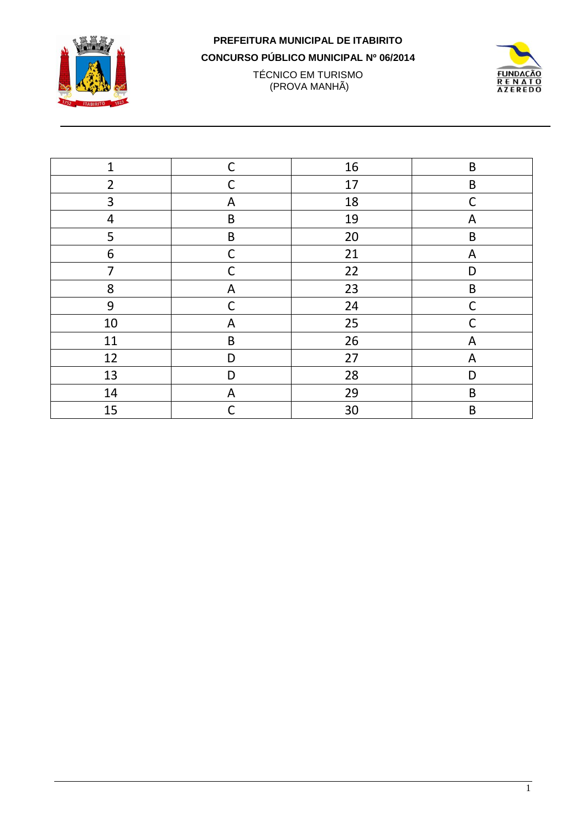

## PREFEITURA MUNICIPAL DE ITABIRITO

CONCURSO PÚBLICO MUNICIPAL Nº 06/2014

TÉCNICO EM TURISMO<br>(PROVA MANHÃ)



| $\mathbf{1}$   | $\mathsf{C}$ | 16 | $\sf B$     |
|----------------|--------------|----|-------------|
| $\overline{2}$ | C            | 17 | $\sf B$     |
| 3              | A            | 18 | $\mathsf C$ |
| $\overline{4}$ | $\sf B$      | 19 | A           |
| 5              | $\sf B$      | 20 | $\mathsf B$ |
| 6              | $\mathsf C$  | 21 | A           |
| $\overline{7}$ | C            | 22 | D           |
| 8              | A            | 23 | $\sf B$     |
| 9              | $\mathsf{C}$ | 24 | $\mathsf C$ |
| $10\,$         | A            | 25 | C           |
| 11             | B            | 26 | A           |
| 12             | D            | 27 | A           |
| 13             | D            | 28 | D           |
| 14             | A            | 29 | $\mathsf B$ |
| 15             | $\mathsf{C}$ | 30 | $\mathsf B$ |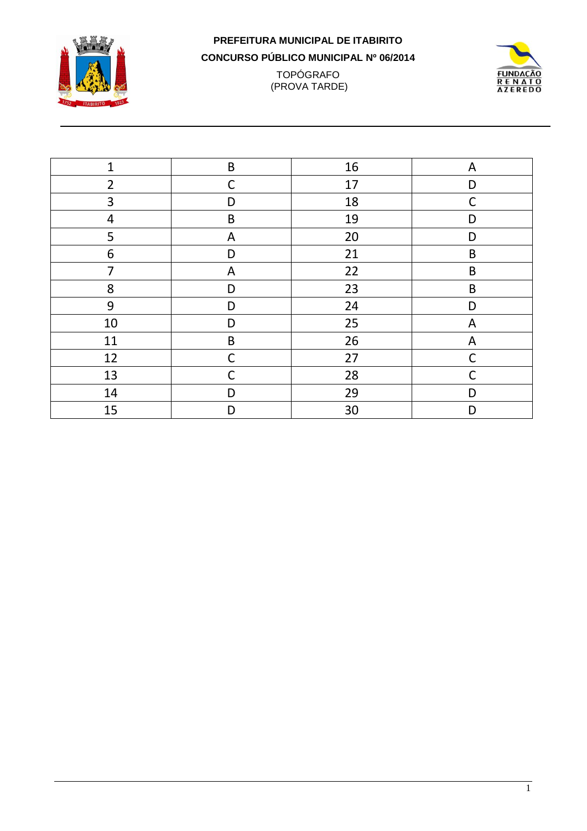

#### **PREFEITURA MUNICIPAL DE ITABIRITO CONCURSO PÚBLICO MUNICIPAL Nº 06/2014** TOPÓGRAFO (PROVA TARDE)



| $\mathbf{1}$   | $\sf B$      | 16 | A           |
|----------------|--------------|----|-------------|
| $\overline{2}$ | $\mathsf C$  | 17 | D           |
| 3              | D            | 18 | $\mathsf C$ |
| $\overline{4}$ | $\sf B$      | 19 | D           |
| 5              | A            | 20 | D           |
| 6              | D            | 21 | $\mathsf B$ |
| $\overline{7}$ | A            | 22 | B           |
| 8              | D            | 23 | $\sf B$     |
| 9              | D            | 24 | D           |
| 10             | D            | 25 | A           |
| 11             | $\mathsf B$  | 26 | A           |
| 12             | $\mathsf C$  | 27 | $\mathsf C$ |
| 13             | $\mathsf{C}$ | 28 | $\mathsf C$ |
| 14             | D            | 29 | D           |
| 15             | D            | 30 | D           |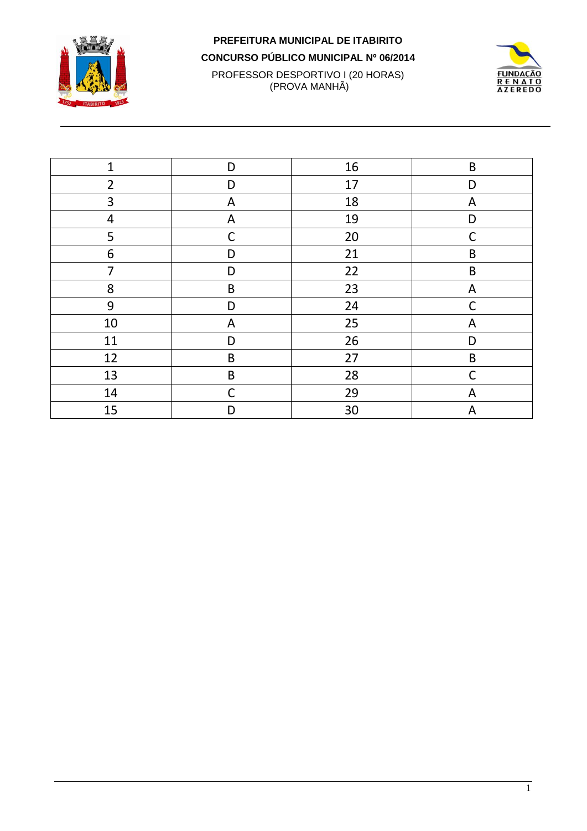

## PREFEITURA MUNICIPAL DE ITABIRITO CONCURSO PÚBLICO MUNICIPAL Nº 06/2014 PROFESSOR DESPORTIVO I (20 HORAS)<br>(PROVA MANHÃ)



| $\mathbf{1}$   | D            | 16 | $\sf B$     |
|----------------|--------------|----|-------------|
| $\overline{2}$ | D            | 17 | D           |
| 3              | A            | 18 | A           |
| 4              | A            | 19 | D           |
| 5              | $\mathsf{C}$ | 20 | $\mathsf C$ |
| 6              | D            | 21 | $\mathsf B$ |
| $\overline{7}$ | D            | 22 | $\sf B$     |
| 8              | $\sf B$      | 23 | A           |
| 9              | D            | 24 | C           |
| 10             | A            | 25 | A           |
| 11             | D            | 26 | D           |
| 12             | $\sf B$      | 27 | $\sf B$     |
| 13             | $\sf B$      | 28 | $\mathsf C$ |
| 14             | $\mathsf{C}$ | 29 | A           |
| 15             | D            | 30 | A           |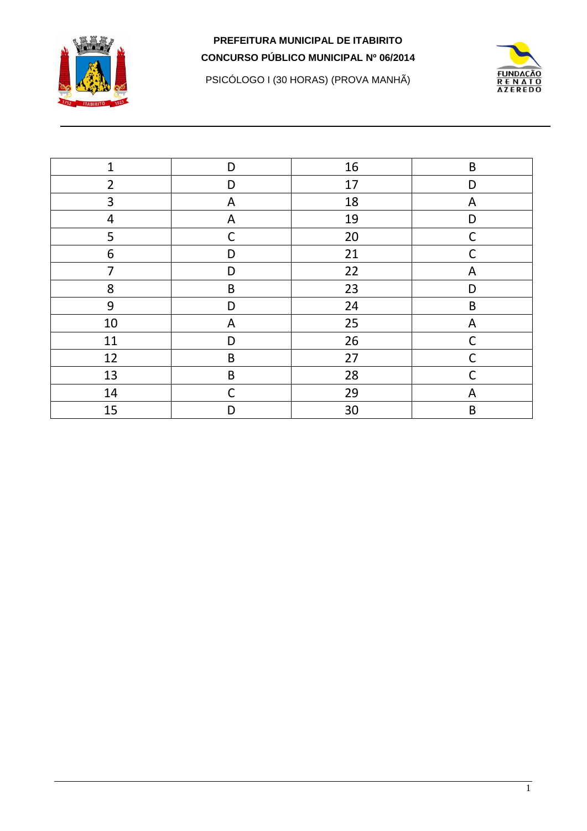





| $\mathbf{1}$   | D            | 16 | B           |
|----------------|--------------|----|-------------|
| $\overline{2}$ | D            | 17 | D           |
| 3              | A            | 18 | A           |
| 4              | A            | 19 | D           |
| 5              | $\mathsf{C}$ | 20 | $\mathsf C$ |
| 6              | D            | 21 | C           |
| 7              | D            | 22 | A           |
| 8              | $\sf B$      | 23 | D           |
| 9              | D            | 24 | B           |
| 10             | A            | 25 | A           |
| 11             | D            | 26 | $\mathsf C$ |
| 12             | $\sf B$      | 27 | $\mathsf C$ |
| 13             | $\sf B$      | 28 | $\mathsf C$ |
| 14             | $\mathsf C$  | 29 | A           |
| 15             | D            | 30 | $\mathsf B$ |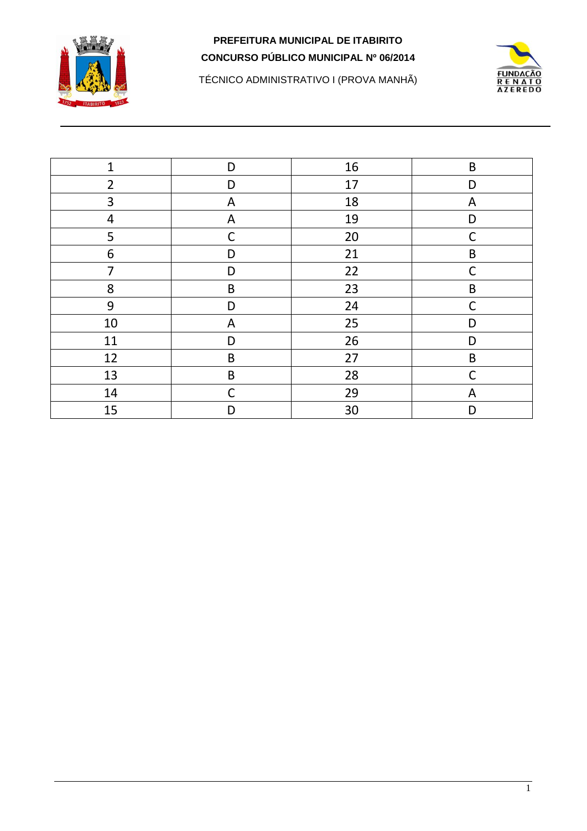

**FUNDAÇÃO RENATO**<br>AZEREDO

TÉCNICO ADMINISTRATIVO I (PROVA MANHÃ)

| $\mathbf{1}$            | D           | 16 | $\sf B$     |
|-------------------------|-------------|----|-------------|
| $\overline{2}$          | D           | 17 | D           |
| 3                       | A           | 18 | A           |
| $\overline{\mathbf{4}}$ | A           | 19 | D           |
| 5                       | $\mathsf C$ | 20 | $\mathsf C$ |
| 6                       | D           | 21 | $\sf B$     |
| $\overline{7}$          | D           | 22 | $\mathsf C$ |
| 8                       | $\sf B$     | 23 | $\sf B$     |
| 9                       | D           | 24 | $\mathsf C$ |
| 10                      | ${\sf A}$   | 25 | D           |
| 11                      | D           | 26 | D           |
| 12                      | $\sf B$     | 27 | $\sf B$     |
| 13                      | $\sf B$     | 28 | $\mathsf C$ |
| 14                      | C           | 29 | A           |
| 15                      | D           | 30 | D           |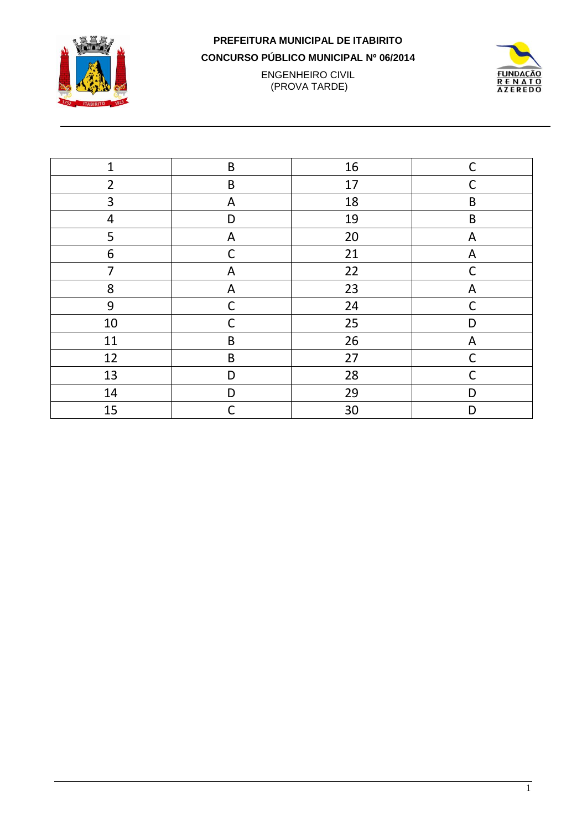

**ENGENHEIRO CIVIL** (PROVA TARDE)



| $\mathbf{1}$   | $\sf B$     | 16 | $\mathsf C$  |
|----------------|-------------|----|--------------|
| $\overline{2}$ | $\sf B$     | 17 | $\mathsf{C}$ |
| 3              | A           | 18 | $\mathsf B$  |
| 4              | D           | 19 | $\mathsf B$  |
| 5              | A           | 20 | A            |
| 6              | $\mathsf C$ | 21 | A            |
| 7              | A           | 22 | $\mathsf C$  |
| 8              | A           | 23 | A            |
| 9              | $\mathsf C$ | 24 | $\mathsf C$  |
| $10\,$         | C           | 25 | D            |
| 11             | B           | 26 | A            |
| 12             | $\sf B$     | 27 | $\mathsf{C}$ |
| 13             | D           | 28 | $\mathsf C$  |
| 14             | D           | 29 | D            |
| 15             | C           | 30 | D            |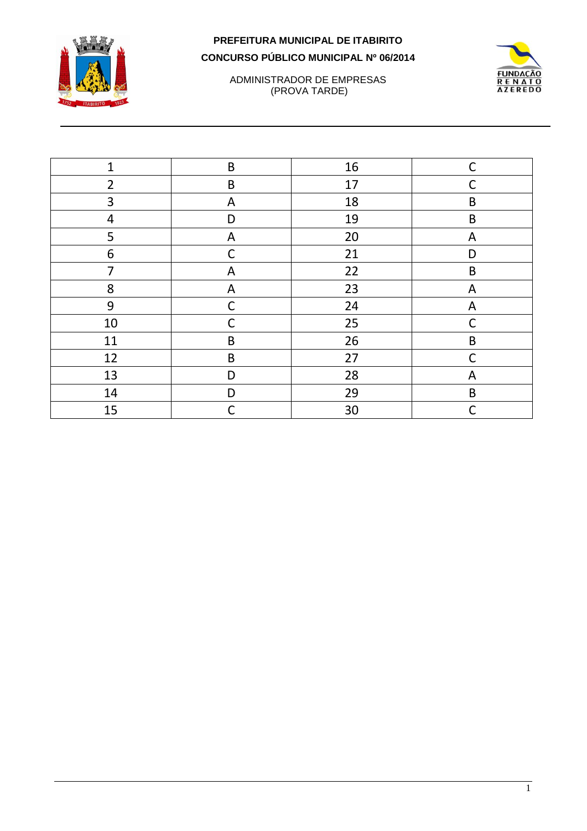



ADMINISTRADOR DE EMPRESAS (PROVA TARDE)

| $\mathbf{1}$   | B           | 16 | $\mathsf C$ |
|----------------|-------------|----|-------------|
| $\overline{2}$ | $\sf B$     | 17 | $\mathsf C$ |
| 3              | A           | 18 | B           |
| 4              | D           | 19 | $\sf B$     |
| 5              | A           | 20 | A           |
| 6              | $\mathsf C$ | 21 | D           |
| 7              | A           | 22 | $\mathsf B$ |
| 8              | A           | 23 | A           |
| 9              | $\mathsf C$ | 24 | A           |
| 10             | C           | 25 | $\mathsf C$ |
| 11             | B           | 26 | $\sf B$     |
| 12             | $\sf B$     | 27 | $\mathsf C$ |
| 13             | D           | 28 | A           |
| 14             | D           | 29 | $\sf B$     |
| 15             | C           | 30 | $\mathsf C$ |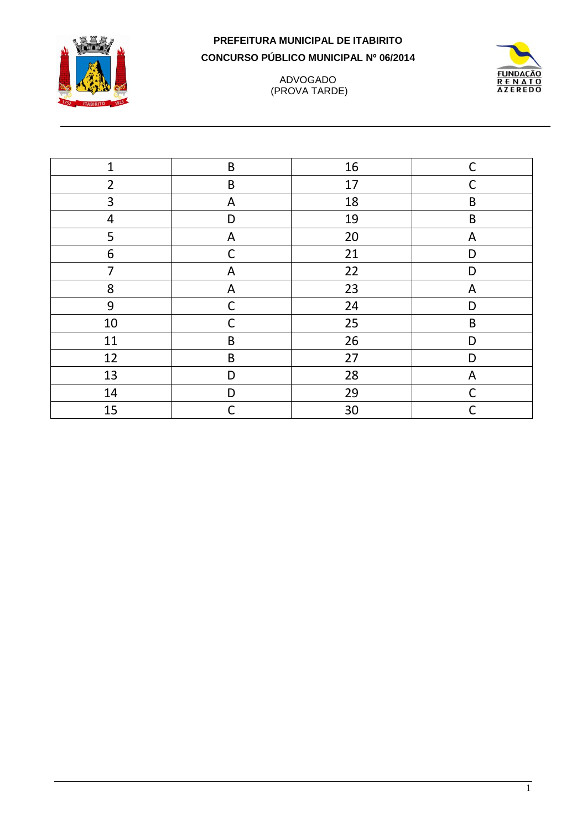

#### ADVOGADO (PROVA TARDE)



| $\mathbf 1$    | $\sf B$     | 16 | $\mathsf{C}$ |
|----------------|-------------|----|--------------|
| $\overline{2}$ | $\sf B$     | 17 | $\mathsf{C}$ |
| 3              | A           | 18 | $\mathsf B$  |
| $\overline{4}$ | D           | 19 | $\mathsf B$  |
| 5              | A           | 20 | A            |
| 6              | C           | 21 | D            |
| $\overline{7}$ | A           | 22 | D            |
| 8              | A           | 23 | A            |
| 9              | $\mathsf C$ | 24 | D            |
| 10             | C           | 25 | $\sf B$      |
| 11             | $\sf B$     | 26 | D            |
| 12             | $\sf B$     | 27 | D            |
| 13             | D           | 28 | A            |
| 14             | D           | 29 | $\mathsf C$  |
| 15             | C           | 30 | C            |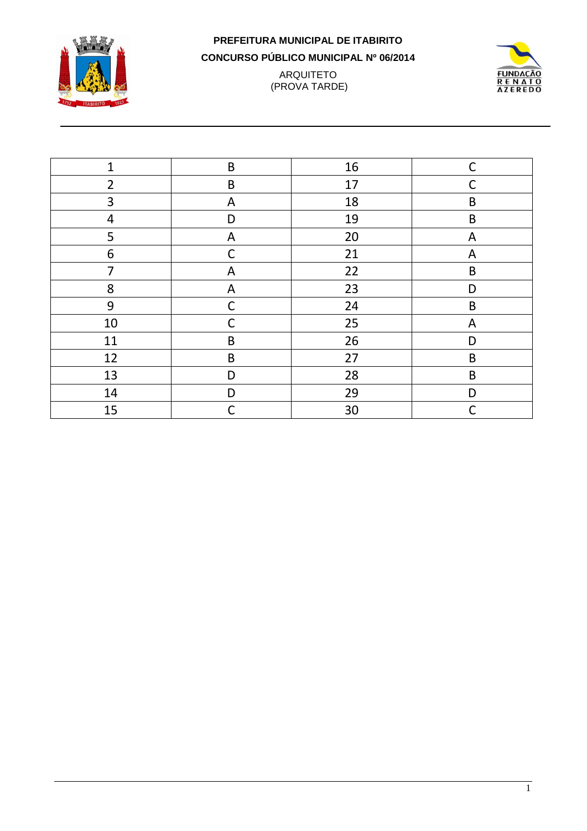

#### **PREFEITURA MUNICIPAL DE ITABIRITO CONCURSO PÚBLICO MUNICIPAL Nº 06/2014** ARQUITETO (PROVA TARDE)



| $\mathbf{1}$   | $\sf B$      | 16 | $\mathsf{C}$ |
|----------------|--------------|----|--------------|
| $\overline{2}$ | $\sf B$      | 17 | C            |
| 3              | A            | 18 | $\mathsf B$  |
| 4              | D            | 19 | $\mathsf B$  |
| 5              | A            | 20 | A            |
| 6              | $\mathsf C$  | 21 | A            |
| 7              | A            | 22 | $\mathsf B$  |
| 8              | A            | 23 | D            |
| 9              | $\mathsf{C}$ | 24 | B            |
| 10             | C            | 25 | A            |
| 11             | B            | 26 | D            |
| 12             | $\sf B$      | 27 | $\sf B$      |
| 13             | D            | 28 | $\mathsf B$  |
| 14             | D            | 29 | D            |
| 15             | C            | 30 | C            |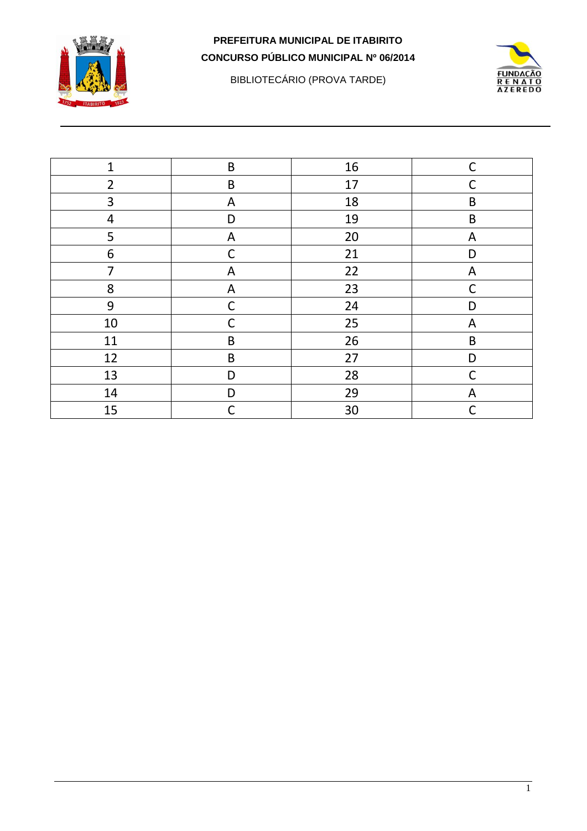

BIBLIOTECÁRIO (PROVA TARDE)



| $\mathbf{1}$   | $\sf B$     | 16 | $\mathsf C$  |
|----------------|-------------|----|--------------|
| $\overline{2}$ | $\sf B$     | 17 | $\mathsf{C}$ |
| 3              | A           | 18 | $\mathsf B$  |
| 4              | D           | 19 | $\sf B$      |
| 5              | ${\sf A}$   | 20 | A            |
| 6              | $\mathsf C$ | 21 | D            |
| $\overline{7}$ | A           | 22 | A            |
| 8              | A           | 23 | $\mathsf{C}$ |
| 9              | $\mathsf C$ | 24 | D            |
| $10\,$         | C           | 25 | A            |
| 11             | B           | 26 | $\sf B$      |
| 12             | $\sf B$     | 27 | D            |
| 13             | D           | 28 | $\mathsf C$  |
| 14             | D           | 29 | A            |
| 15             | $\mathsf C$ | 30 | $\mathsf C$  |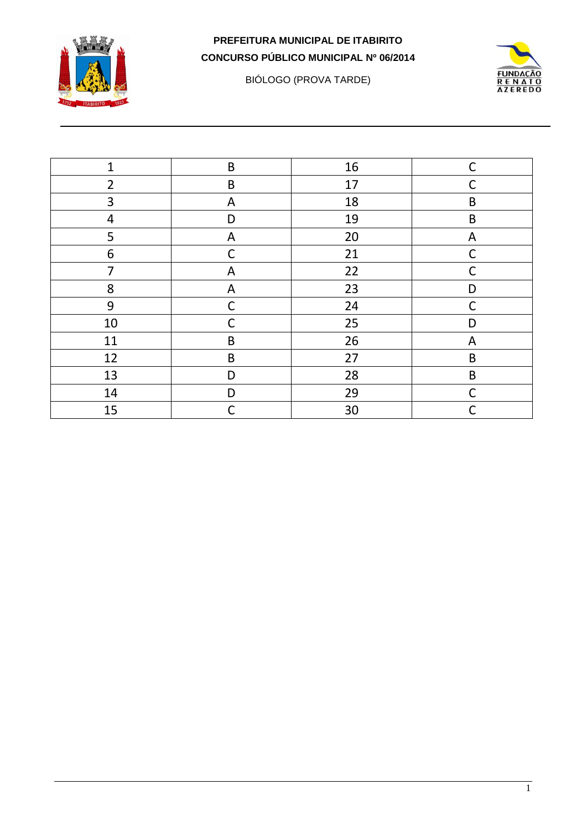

BIÓLOGO (PROVA TARDE)



| $\mathbf{1}$   | $\sf B$      | 16 | C           |
|----------------|--------------|----|-------------|
| $\overline{2}$ | $\sf B$      | 17 | С           |
| 3              | A            | 18 | $\sf B$     |
| 4              | D            | 19 | $\sf B$     |
| 5              | A            | 20 | A           |
| 6              | $\mathsf C$  | 21 | C           |
| $\overline{7}$ | A            | 22 | C           |
| 8              | A            | 23 | D           |
| 9              | $\mathsf C$  | 24 | $\mathsf C$ |
| $10\,$         | C            | 25 | D           |
| 11             | B            | 26 | A           |
| 12             | $\sf B$      | 27 | $\sf B$     |
| 13             | D            | 28 | $\sf B$     |
| 14             | D            | 29 | C           |
| 15             | $\mathsf{C}$ | 30 | C           |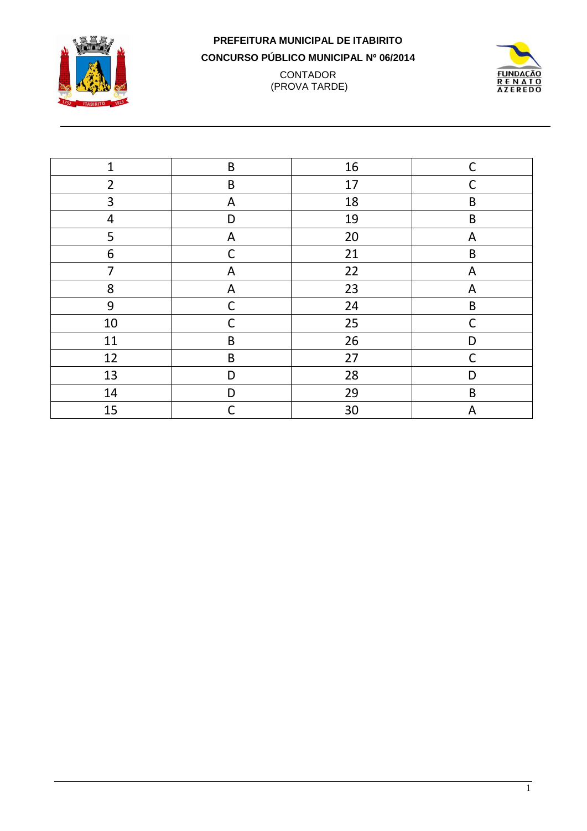

#### **PREFEITURA MUNICIPAL DE ITABIRITO CONCURSO PÚBLICO MUNICIPAL Nº 06/2014 CONTADOR** (PROVA TARDE)



| $\mathbf 1$    | $\sf B$     | 16 | $\mathsf{C}$ |
|----------------|-------------|----|--------------|
| $\overline{2}$ | $\sf B$     | 17 | C            |
| 3              | A           | 18 | B            |
| $\overline{4}$ | D           | 19 | $\mathsf B$  |
| 5              | A           | 20 | A            |
| 6              | C           | 21 | $\mathsf B$  |
| 7              | A           | 22 | A            |
| 8              | A           | 23 | A            |
| 9              | $\mathsf C$ | 24 | $\sf B$      |
| $10\,$         | C           | 25 | $\mathsf C$  |
| 11             | $\sf B$     | 26 | D            |
| 12             | $\sf B$     | 27 | $\mathsf C$  |
| 13             | D           | 28 | D            |
| 14             | D           | 29 | $\mathsf B$  |
| 15             | С           | 30 | A            |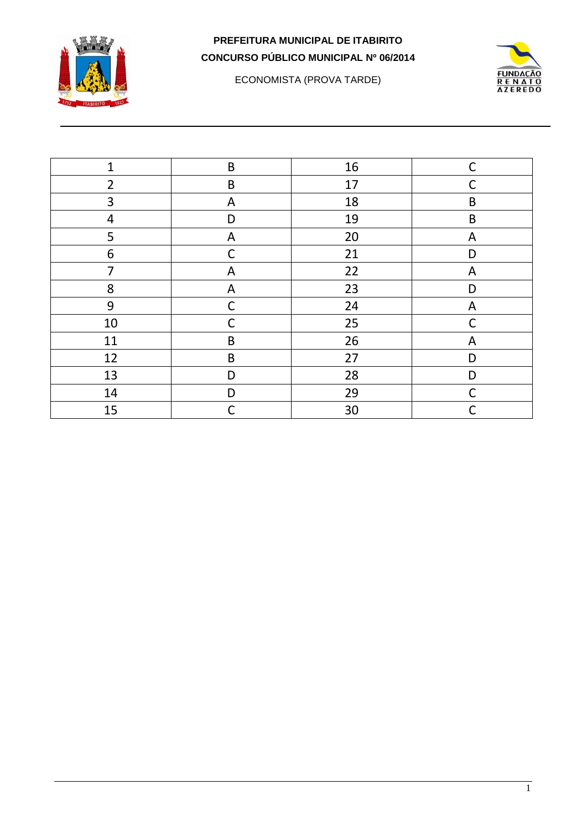

ECONOMISTA (PROVA TARDE)



| $\mathbf{1}$   | $\sf B$      | 16 | $\mathsf{C}$ |
|----------------|--------------|----|--------------|
| $\overline{2}$ | $\sf B$      | 17 | C            |
| 3              | A            | 18 | $\mathsf B$  |
| 4              | D            | 19 | B            |
| 5              | A            | 20 | A            |
| 6              | $\mathsf{C}$ | 21 | D            |
| 7              | A            | 22 | A            |
| 8              | A            | 23 | D            |
| 9              | $\mathsf{C}$ | 24 | A            |
| $10\,$         | C            | 25 | C            |
| 11             | B            | 26 | A            |
| 12             | $\sf B$      | 27 | D            |
| 13             | D            | 28 | D            |
| 14             | D            | 29 | $\mathsf{C}$ |
| 15             | $\mathsf C$  | 30 | $\mathsf{C}$ |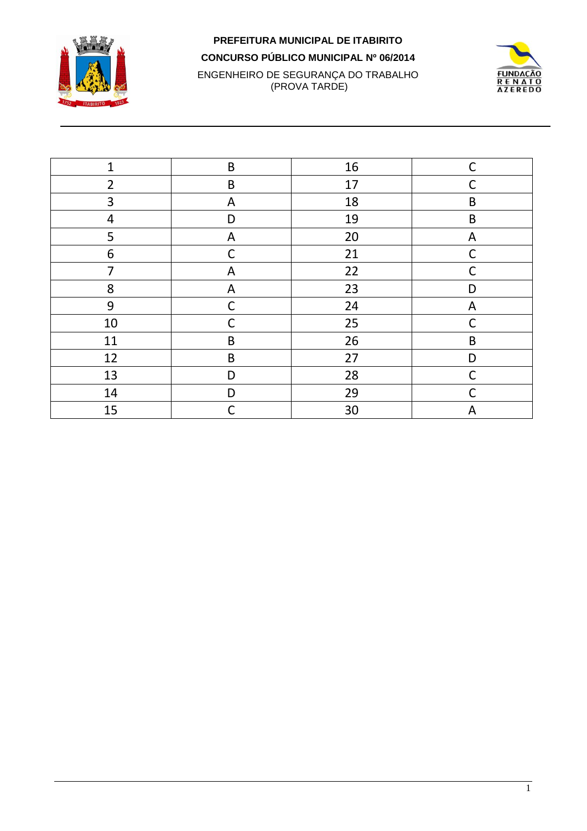

#### **PREFEITURA MUNICIPAL DE ITABIRITO CONCURSO PÚBLICO MUNICIPAL Nº 06/2014** ENGENHEIRO DE SEGURANÇA DO TRABALHO (PROVA TARDE)



| $\mathbf{1}$   | B            | 16 | $\mathsf C$  |
|----------------|--------------|----|--------------|
| $\overline{2}$ | $\sf B$      | 17 | $\mathsf C$  |
| 3              | A            | 18 | $\sf B$      |
| $\overline{4}$ | D            | 19 | $\sf B$      |
| 5              | A            | 20 | A            |
| 6              | $\mathsf C$  | 21 | C            |
| $\overline{7}$ | A            | 22 | $\mathsf C$  |
| 8              | A            | 23 | D            |
| 9              | $\mathsf{C}$ | 24 | A            |
| $10\,$         | $\mathsf{C}$ | 25 | $\mathsf{C}$ |
| 11             | $\sf B$      | 26 | $\sf B$      |
| 12             | $\sf B$      | 27 | D            |
| 13             | D            | 28 | C            |
| 14             | D            | 29 | $\mathsf C$  |
| 15             | C            | 30 | A            |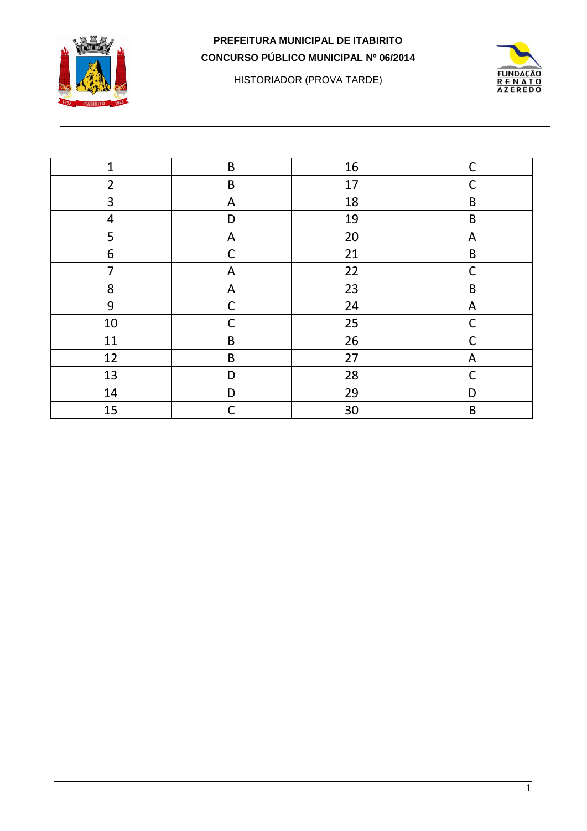

HISTORIADOR (PROVA TARDE)



| 1              | $\sf B$      | 16 | $\mathsf{C}$ |
|----------------|--------------|----|--------------|
| $\overline{2}$ | $\sf B$      | 17 | C            |
| 3              | A            | 18 | B            |
| 4              | D            | 19 | B            |
| 5              | A            | 20 | A            |
| 6              | $\mathsf{C}$ | 21 | $\mathsf B$  |
| 7              | A            | 22 | $\mathsf{C}$ |
| 8              | A            | 23 | B            |
| 9              | $\mathsf C$  | 24 | A            |
| $10\,$         | C            | 25 | C            |
| 11             | B            | 26 | C            |
| 12             | $\sf B$      | 27 | A            |
| 13             | D            | 28 | $\mathsf{C}$ |
| 14             | D            | 29 | D            |
| 15             | C            | 30 | $\mathsf B$  |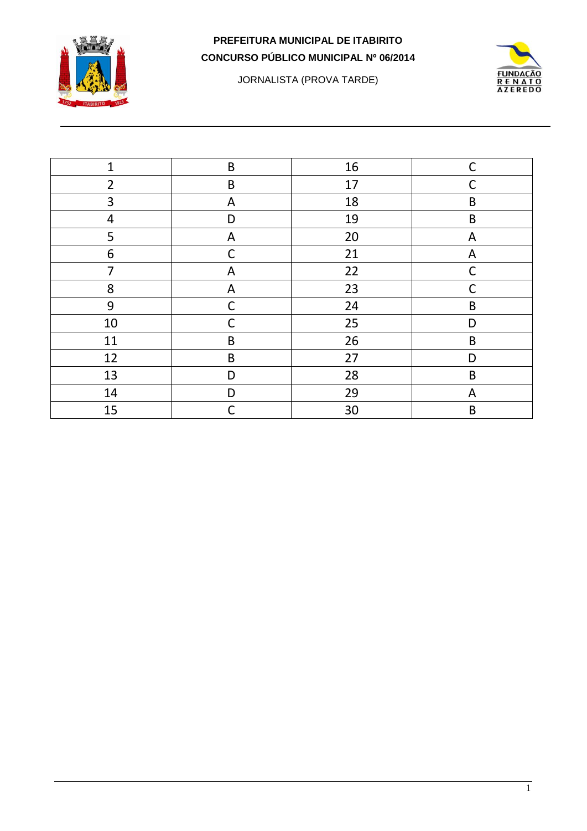

JORNALISTA (PROVA TARDE)



| $\mathbf{1}$   | $\sf B$      | 16 | $\mathsf{C}$ |
|----------------|--------------|----|--------------|
| $\overline{2}$ | B            | 17 | C            |
| 3              | A            | 18 | $\mathsf B$  |
| 4              | D            | 19 | $\mathsf B$  |
| 5              | A            | 20 | A            |
| 6              | $\mathsf{C}$ | 21 | A            |
| 7              | A            | 22 | $\mathsf{C}$ |
| 8              | A            | 23 | C            |
| 9              | $\mathsf{C}$ | 24 | B            |
| $10\,$         | С            | 25 | D            |
| 11             | B            | 26 | B            |
| 12             | $\sf B$      | 27 | D            |
| 13             | D            | 28 | B            |
| 14             | D            | 29 | A            |
| 15             | C            | 30 | $\mathsf B$  |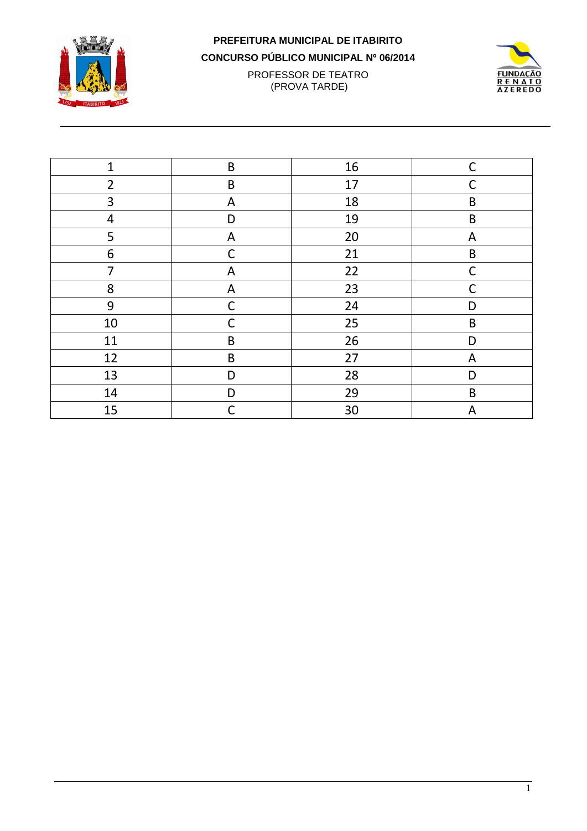

## **PREFEITURA MUNICIPAL DE ITABIRITO**

**CONCURSO PÚBLICO MUNICIPAL Nº 06/2014**

PROFESSOR DE TEATRO (PROVA TARDE)



| $\mathbf 1$    | $\sf B$      | 16 | $\mathsf{C}$ |
|----------------|--------------|----|--------------|
| $\overline{2}$ | $\sf B$      | 17 | C            |
| 3              | $\mathsf{A}$ | 18 | $\mathsf B$  |
| $\overline{4}$ | D            | 19 | $\mathsf B$  |
| 5              | A            | 20 | A            |
| 6              | $\mathsf{C}$ | 21 | $\mathsf B$  |
| 7              | A            | 22 | C            |
| 8              | A            | 23 | C            |
| 9              | $\mathsf{C}$ | 24 | D            |
| 10             | C            | 25 | $\sf B$      |
| 11             | B            | 26 | D            |
| 12             | $\sf B$      | 27 | A            |
| 13             | D            | 28 | D            |
| 14             | D            | 29 | $\mathsf B$  |
| 15             | C            | 30 | A            |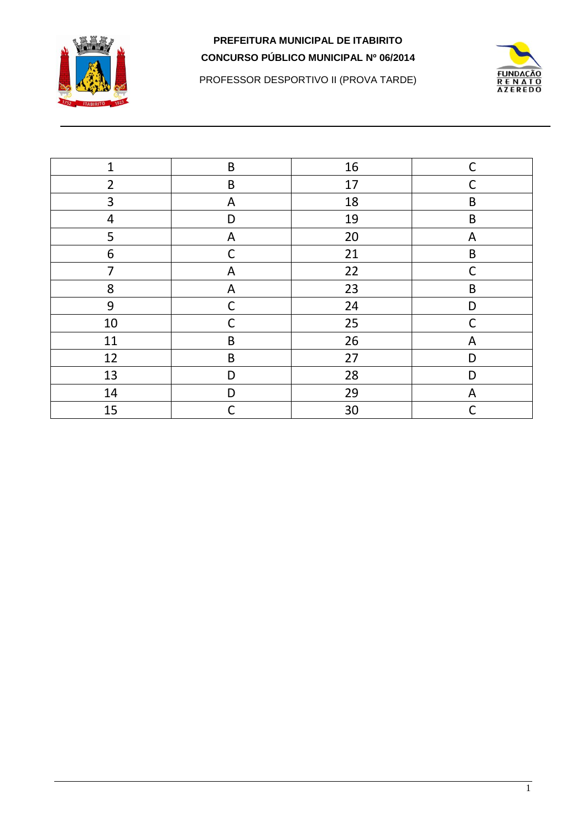

**FUNDAÇÃO RENATO**<br>AZEREDO

PROFESSOR DESPORTIVO II (PROVA TARDE)

| $\mathbf{1}$   | $\sf B$      | 16 | $\mathsf C$ |
|----------------|--------------|----|-------------|
| $\overline{2}$ | $\sf B$      | 17 | C           |
| 3              | ${\sf A}$    | 18 | $\sf B$     |
| $\overline{4}$ | D            | 19 | $\sf B$     |
| 5              | $\mathsf{A}$ | 20 | A           |
| 6              | $\mathsf C$  | 21 | $\sf B$     |
| $\overline{7}$ | A            | 22 | $\mathsf C$ |
| 8              | $\mathsf{A}$ | 23 | $\sf B$     |
| 9              | C            | 24 | D           |
| $10\,$         | C            | 25 | C           |
| 11             | $\sf B$      | 26 | A           |
| 12             | $\sf B$      | 27 | D           |
| 13             | D            | 28 | D           |
| 14             | D            | 29 | A           |
| 15             | C            | 30 |             |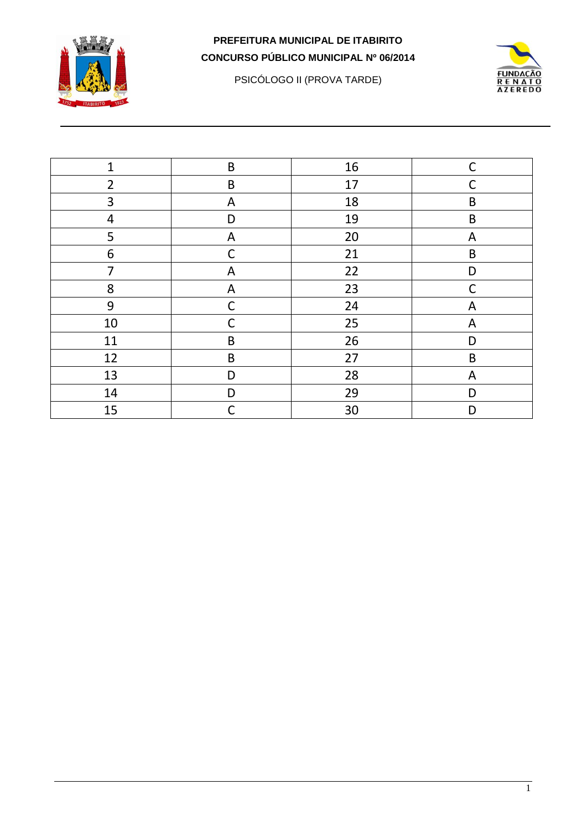

PSICÓLOGO II (PROVA TARDE)



| $\mathbf{1}$   | $\sf B$     | 16 | $\mathsf{C}$ |
|----------------|-------------|----|--------------|
| $\overline{2}$ | $\sf B$     | 17 | С            |
| 3              | A           | 18 | $\sf B$      |
| $\overline{4}$ | D           | 19 | $\sf B$      |
| 5              | A           | 20 | A            |
| 6              | C           | 21 | $\sf B$      |
| $\overline{7}$ | A           | 22 | D            |
| 8              | A           | 23 | $\mathsf C$  |
| 9              | $\mathsf C$ | 24 | A            |
| $10\,$         | C           | 25 | A            |
| 11             | B           | 26 | D            |
| 12             | $\sf B$     | 27 | $\sf B$      |
| 13             | D           | 28 | A            |
| 14             | D           | 29 | D            |
| 15             | C           | 30 | D            |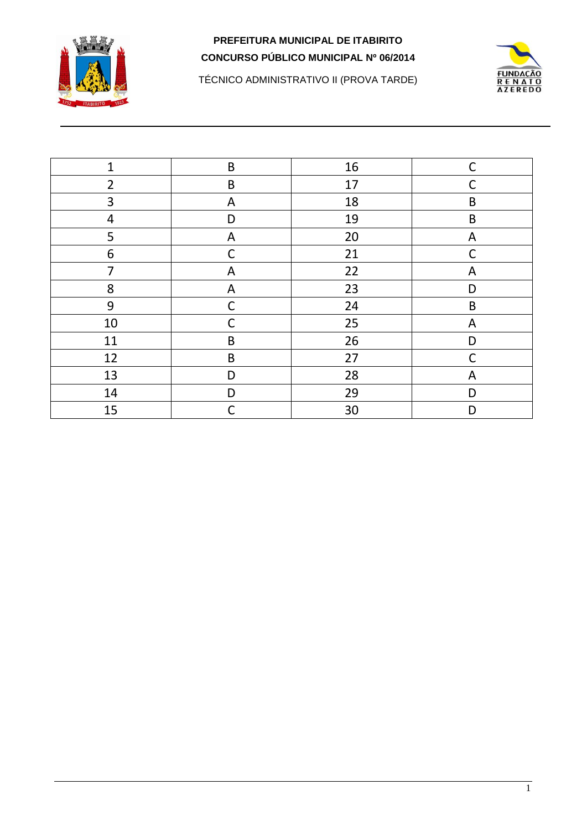

**FUNDACÃO RENATO**<br>AZEREDO

TÉCNICO ADMINISTRATIVO II (PROVA TARDE)

| $\mathbf{1}$   | $\sf B$     | 16 | $\mathsf{C}$ |
|----------------|-------------|----|--------------|
| $\overline{2}$ | $\sf B$     | 17 | C            |
| 3              | A           | 18 | $\sf B$      |
| $\overline{4}$ | D           | 19 | $\sf B$      |
| 5              | A           | 20 | A            |
| 6              | C           | 21 | C            |
| $\overline{7}$ | A           | 22 | A            |
| 8              | $\mathsf A$ | 23 | D            |
| 9              | $\mathsf C$ | 24 | B            |
| $10\,$         | C           | 25 | A            |
| 11             | $\sf B$     | 26 | D            |
| 12             | $\sf B$     | 27 | C            |
| 13             | D           | 28 | A            |
| 14             | D           | 29 | D            |
| 15             | C           | 30 | D            |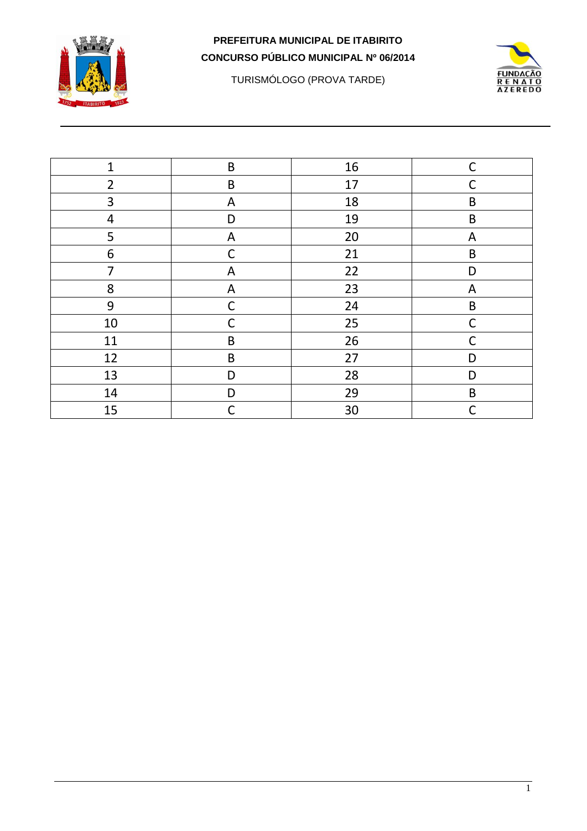

TURISMÓLOGO (PROVA TARDE)



| $\mathbf{1}$   | $\sf B$      | 16 | $\mathsf C$  |
|----------------|--------------|----|--------------|
| $\overline{2}$ | $\sf B$      | 17 | C            |
| 3              | A            | 18 | B            |
| 4              | D            | 19 | B            |
| 5              | A            | 20 | A            |
| 6              | $\mathsf{C}$ | 21 | $\mathsf B$  |
| 7              | A            | 22 | D            |
| 8              | A            | 23 | A            |
| 9              | $\mathsf{C}$ | 24 | B            |
| 10             | C            | 25 | C            |
| 11             | B            | 26 | C            |
| 12             | $\sf B$      | 27 | D            |
| 13             | D            | 28 | D            |
| 14             | D            | 29 | $\mathsf B$  |
| 15             | C            | 30 | $\mathsf{C}$ |